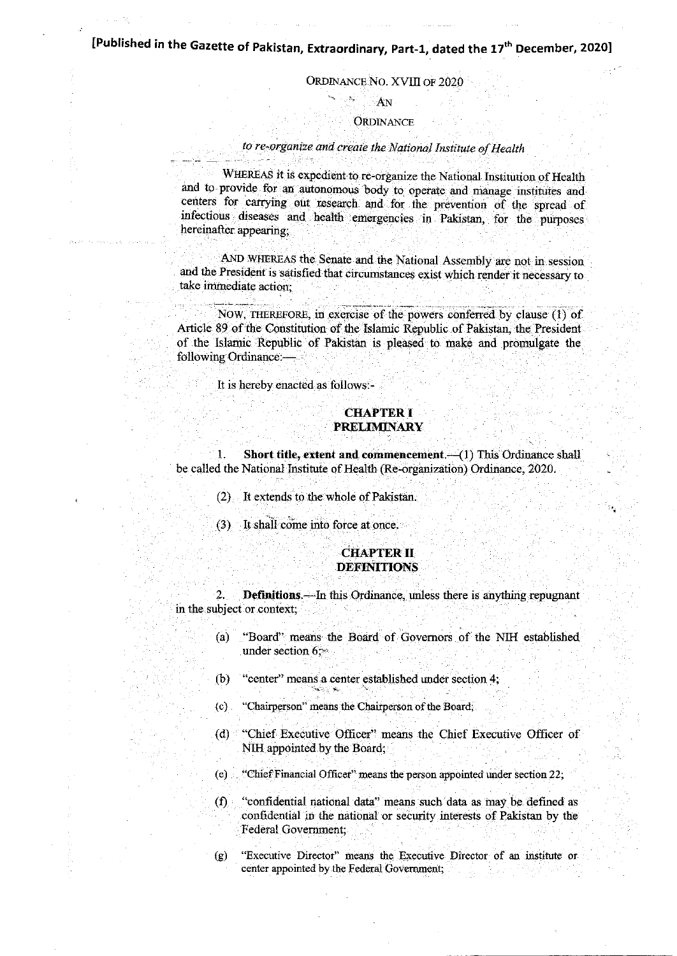# [Published in the Gazette of Pakistan, Extraordinary, Part-1, dated the 17<sup>th</sup> December, 2020]

#### ORDINANCE NO. XVIII OF 2020

# AN

### ORDINANCE

#### to re-organize and create the National Institute of Health

WHEREAS it is expedient to re-organize the National Institution of Health and to provide for an autonomous body to operate and manage institutes and centers for carrying out research and for the prevention of the spread of infectious diseases and health emergencies in Pakistan, for the purposes hereinafter appearing;

AND WHEREAS the Senate and the National Assembly are not in session and the President is satisfied that circumstances exist which render it necessary to take immediate action;

NOW, THEREFORE, in exercise of the powers conferred by clause (1) of Article 89 of the Constitution of the Islamic Republic of Pakistan, the President of the Islamic Republic of Pakistan is pleased to make and promulgate the following Ordinance: $-$ 

It is hereby enacted as follows:- .

#### **CHAPTERI** PRELIMINARY

1. Short title, extent and commencement. (1) This Ordinance shall be called the National Institute of Health (Re-organization) Ordinance, 2020.

- (2) It extends to the whole of Pakistan.
- (3) It shall come into force at once.

#### **CHAPTER II DEFINITIONS**

2. **Definitions.**—In this Ordinance, unless there is anything repugnant in the subject or context:

- (a) "Board" means the Board of Governors of the NIH established under section  $6$ .
- (b) "center" means a center established under section 4;
- (c) "Chairperson" means the Chairperson of the Board;
- (d) "Chief Executive Officer" means the Chief Executive Officer of NIH appointed by the Board;
- (e) "Chief Financial Officer" means the person appointed under section 22;
- (D "confidential national alata" means such data as may be defined as confidential in the national or security interests of Pakistan by the Federal Govemment;
- (g) "Executive Director" means the Executive Director of an institute or center appointed by the Federal Government;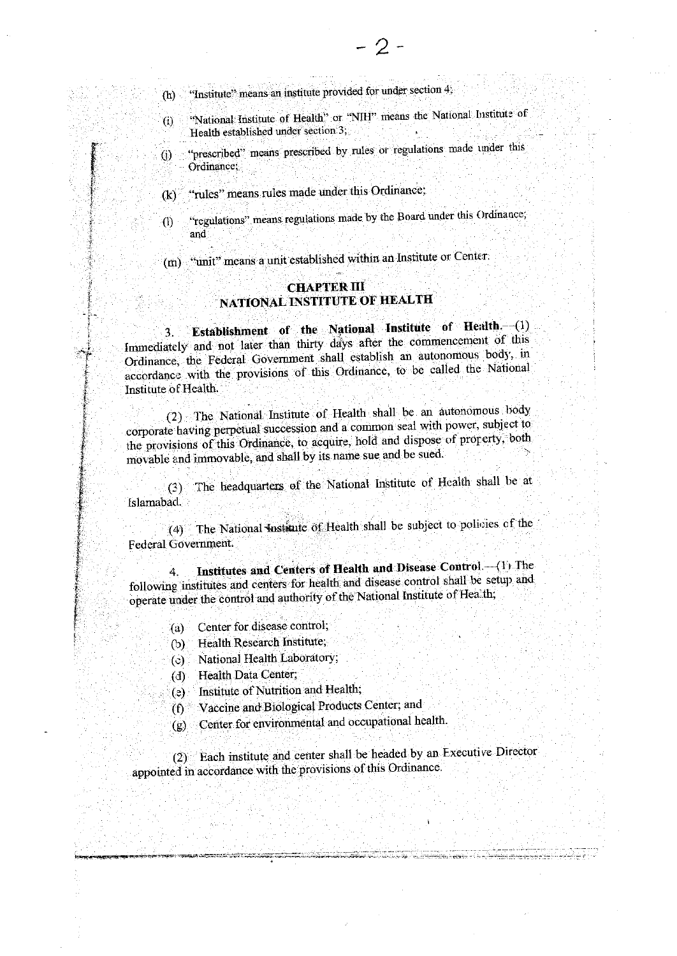"Institute" means an institute provided for under section 4;  $(h)$ 

- "National Institute of Health" or "NIH" means the National Institute of  $\ddot{\Omega}$ Health established under section 3,
- "prescribed" means prescribed by rules or regulations made under this  $\Theta$ Ordinance:
- "rules" means rules made under this Ordinance;  $\mathbf{R}$
- "regulations" means regulations made by the Board under this Ordinance;  $(1)$ and

(m) "unit" means a unit established within an Institute or Center.

## **CHAPTER III** NATIONAL INSTITUTE OF HEALTH

Establishment of the National Institute of Health. (1) 3. Immediately and not later than thirty days after the commencement of this Ordinance, the Federal Government shall establish an autonomous body, in accordance with the provisions of this Ordinance, to be called the National Institute of Health.

(2) The National Institute of Health shall be an autonomous body corporate having perpetual succession and a common seal with power, subject to the provisions of this Ordinance, to acquire, hold and dispose of property, both movable and immovable, and shall by its name sue and be sued.

(3) The headquarters of the National Institute of Health shall be at Islamabad.

(4) The National Institute of Health shall be subject to policies of the Federal Government.

Institutes and Centers of Health and Disease Control.-(1) The 4. following institutes and centers for health and disease control shall be setup and operate under the control and authority of the National Institute of Health;

- (a) Center for disease control,
- Health Research Institute;  $(b)$
- (c) National Health Laboratory;
- Health Data Center;  $(d)$
- Institute of Nutrition and Health;  $(e)$
- Vaccine and Biological Products Center; and  $(f)$
- Center for environmental and occupational health.  $(g)$ .

(2) Each institute and center shall be headed by an Executive Director appointed in accordance with the provisions of this Ordinance.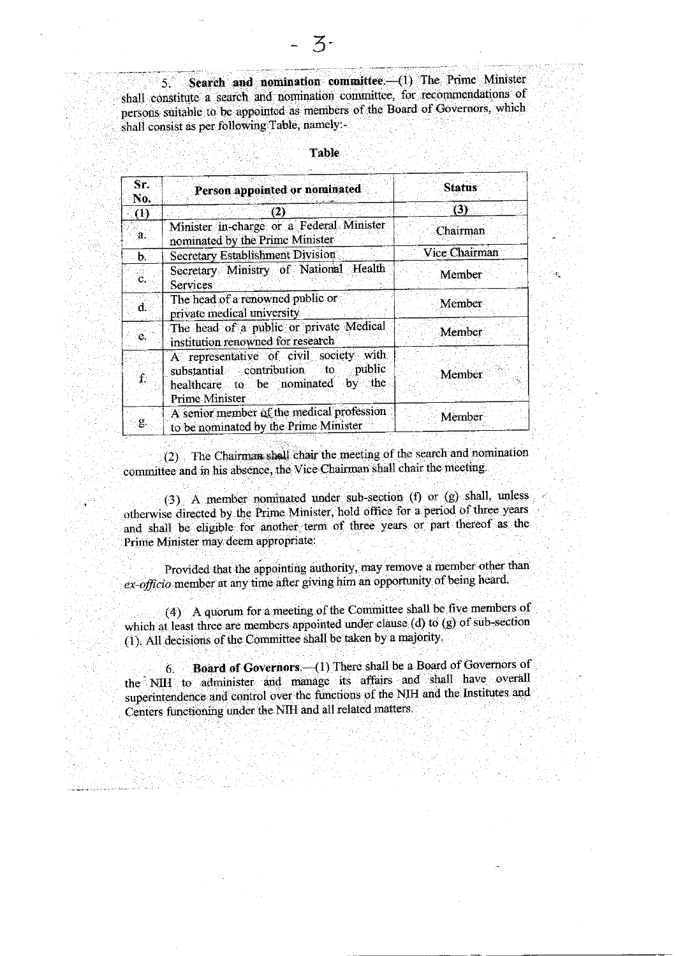Search and nomination committee. (1) The Prime Minister 5. shall constitute a search and nomination committee, for recommendations of persons suitable to be appointed as members of the Board of Governors, which shall consist as per following Table, namely:-

| Sr.<br>No.   | Person appointed or nominated                                                                                                                         | <b>Status</b> |
|--------------|-------------------------------------------------------------------------------------------------------------------------------------------------------|---------------|
| (1)          | (2)                                                                                                                                                   | (3)           |
| ∙a.          | Minister in-charge or a Federal Minister<br>nominated by the Prime Minister                                                                           | Chairman      |
| $\mathbf{b}$ | <b>Secretary Establishment Division</b>                                                                                                               | Vice Chairman |
| Ĉ.           | Secretary Ministry of National Health<br><b>Services</b>                                                                                              | Member        |
| 'n.          | The head of a renowned public or<br>private medical university                                                                                        | Member        |
| e.           | The head of a public or private Medical<br>institution renowned for research                                                                          | Member        |
|              | A representative of civil society with<br>public<br>substantial contribution<br>ાંo<br>the.<br>healthcare to be nominated by<br><b>Prime Minister</b> | Member        |
| g.           | A senior member of the medical profession<br>to be nominated by the Prime Minister                                                                    | Member        |

#### **Table**

(2) The Chairman shall chair the meeting of the search and nomination committee and in his absence, the Vice Chairman shall chair the meeting.

(3) A member nominated under sub-section (f) or (g) shall, unless otherwise directed by the Prime Minister, hold office for a period of three years and shall be eligible for another term of three years or part thereof as the Prime Minister may deem appropriate:

Provided that the appointing authority, may remove a member other than ex-officio member at any time after giving him an opportunity of being heard.

(4) A quorum for a meeting of the Committee shall be five members of which at least three are members appointed under clause (d) to (g) of sub-section (1). All decisions of the Committee shall be taken by a majority.

Board of Governors -- (1) There shall be a Board of Governors of  $6<sup>1</sup>$ the NIH to administer and manage its affairs and shall have overall superintendence and control over the functions of the NIH and the Institutes and Centers functioning under the NIH and all related matters.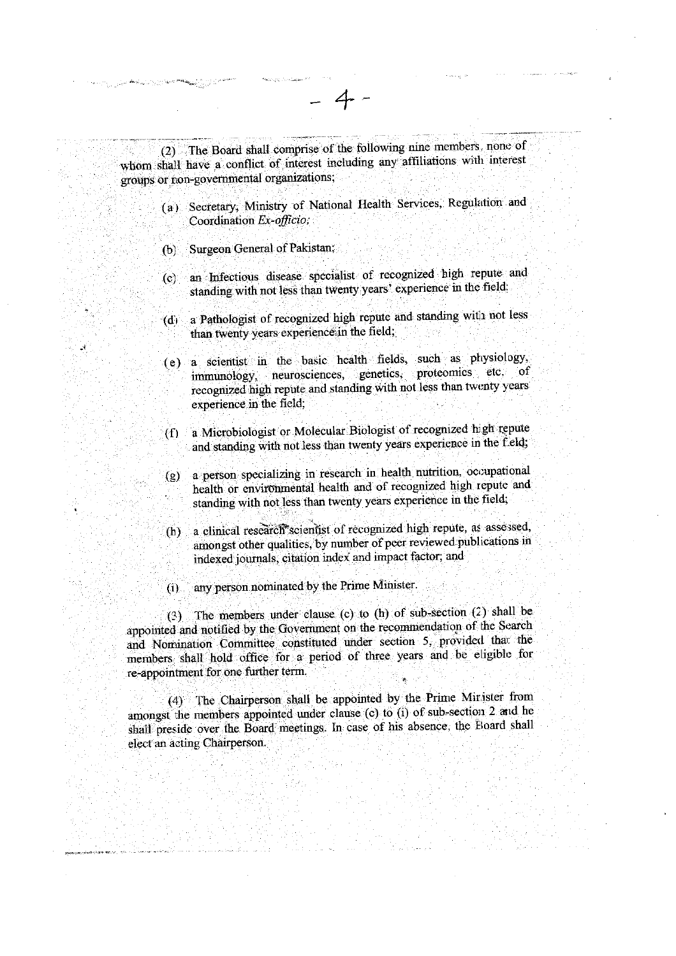|                      | (2) The Board shall comprise of the following nine members, none of<br>whom shall have a conflict of interest including any affiliations with interest<br>groups or non-governmental organizations;                                                                                                                                                 |
|----------------------|-----------------------------------------------------------------------------------------------------------------------------------------------------------------------------------------------------------------------------------------------------------------------------------------------------------------------------------------------------|
| (a)                  | Secretary, Ministry of National Health Services, Regulation and<br>Coordination Ex-officio;                                                                                                                                                                                                                                                         |
| (b)                  | Surgeon General of Pakistan;                                                                                                                                                                                                                                                                                                                        |
| (c)                  | an Infectious disease specialist of recognized high repute and<br>standing with not less than twenty years' experience in the field.                                                                                                                                                                                                                |
| (d)                  | a Pathologist of recognized high repute and standing with not less<br>than twenty years experience in the field;                                                                                                                                                                                                                                    |
|                      | (e) a scientist in the basic health fields, such as physiology,<br>immunology, neurosciences, genetics, proteomics etc. of<br>recognized high repute and standing with not less than twenty years<br>experience in the field;                                                                                                                       |
| (f)                  | a Microbiologist or Molecular Biologist of recognized high repute<br>and standing with not less than twenty years experience in the f eld;                                                                                                                                                                                                          |
| (g)                  | a person specializing in research in health nutrition, occupational<br>health or environmental health and of recognized high repute and<br>standing with not less than twenty years experience in the field;                                                                                                                                        |
| $\left( \ln \right)$ | a clinical research scientist of recognized high repute, as assessed,<br>amongst other qualities, by number of peer reviewed publications in<br>indexed journals, citation index and impact factor; and                                                                                                                                             |
| $\left( 1\right)$    | any person nominated by the Prime Minister.                                                                                                                                                                                                                                                                                                         |
|                      | (2) The members under clause (c) to (h) of sub-section (2) shall be<br>appointed and notified by the Government on the recommendation of the Search<br>and Nomination Committee constituted under section 5, provided that the<br>members shall hold office for a period of three years and be eligible for<br>re-appointment for one further term. |
|                      | (4) The Chairperson shall be appointed by the Prime Mirister from<br>amongst the members appointed under clause (c) to (i) of sub-section 2 and he<br>shall preside over the Board meetings. In case of his absence, the Board shall<br>elect an acting Chairperson.                                                                                |

 $-4-$ 

 $\label{eq:3.1} \begin{split} \mathcal{L}_{\mathcal{A}}(y) & = \mathcal{L}_{\mathcal{A}}(y) \sum_{\substack{1 \leq i \leq n \\ i \neq j}} \sum_{\substack{1 \leq i \leq n \\ i \neq j}} \mathcal{L}_{\mathcal{A}}(y) \frac{1}{n!} \mathbf{K}_{\mathcal{A}}(y) \frac{1}{n!} \sum_{\substack{1 \leq i \leq n \\ i \neq j}} \sum_{\substack{1 \leq i \leq n \\ i \neq j}} \mathcal{L}_{\mathcal{A}}(y) \frac{1}{n!} \mathbf{G}(\mathbf{X}_{\$ 

 $\sim$   $\sim$ 

 $\mathcal{L}^{\text{max}}_{\text{max}}$ 

 $\gamma$  , where  $\omega_1$  ,  $D$ 

 $\sim$ 

 $\sim$ 

 $\sim$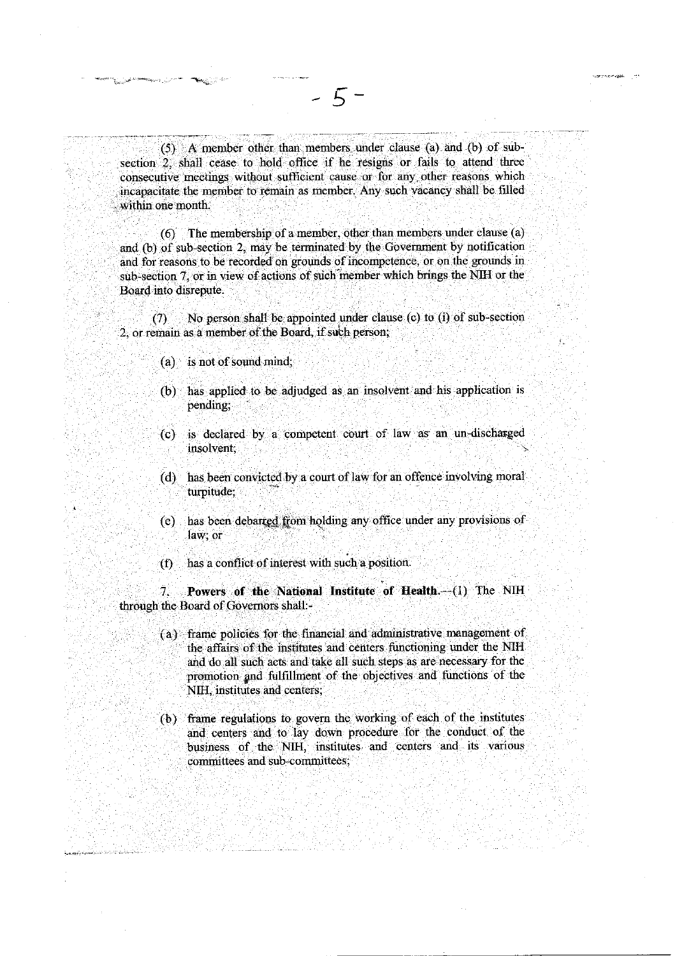(5) A member other than members under clause (a) and (b) of subsection 2, shall cease to hold office if he resigns or fails to attend three consecutive meetings without sufficient cause or for any other reasons which incapacitate the member to remain as member. Any such vacancy shall be filled within one month.

 $-5-$ 

 $(6)$  The membership of a member, other than members under clause (a) and (b) of sub-section 2, may be terminated by the Government by notification and for reasons to be recorded on grounds of incompetence, or on the grounds in sub-section 7, or in view of actions of such member which brings the NIH or the Board into disrepute.

No person shall be appointed under clause (c) to (i) of sub-section  $(7)$ 2, or remain as a member of the Board, if such person;

- $(a)$  is not of sound mind;
- (b) has applied to be adjudged as an insolvent and his application is pending:
- (c) is declared by a competent court of law as an un-discharged insolvent.
- (d) has been convicted by a court of law for an offence involving moral turpitude;
- (e) has been debarred from holding any office under any provisions of law; or
- has a conflict of interest with such a position.  $(f)$

Powers of the National Institute of Health.-(1) The NIH  $\tau$ through the Board of Governors shall -

- (a) frame policies for the financial and administrative management of the affairs of the institutes and centers functioning under the NIH and do all such acts and take all such steps as are necessary for the promotion and fulfillment of the objectives and functions of the NIH, institutes and centers;
- (b) frame regulations to govern the working of each of the institutes and centers and to lay down procedure for the conduct of the business of the NIH, institutes and centers and its various committees and sub-committees;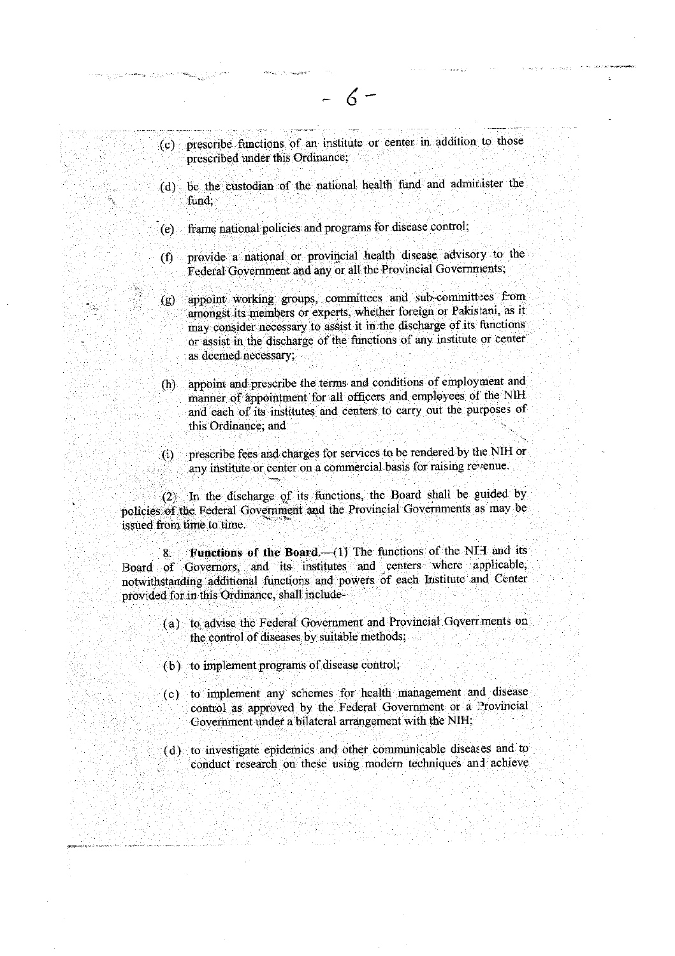(c) prescribe functions of an institute or center in addition to those prescribed under this Ordinance;

and summer

- (d) be the custodian of the national health fund and administer the fund:
- frame national policies and programs for disease control;  $(e)$
- provide a national or provincial health disease advisory to the  $(f)$ Federal Government and any or all the Provincial Governments,
- appoint working groups, committees and sub-committees from  $(g)$ amongst its members or experts, whether foreign or Pakistani, as it may consider necessary to assist it in the discharge of its functions or assist in the discharge of the functions of any institute or center as deemed necessary;
- appoint and prescribe the terms and conditions of employment and  $(h)$ manner of appointment for all officers and employees of the NIH and each of its institutes and centers to carry out the purposes of this Ordinance; and
- prescribe fees and charges for services to be rendered by the NIH or  $(i)$ any institute or center on a commercial basis for raising revenue.

In the discharge of its functions, the Board shall be guided by  $(2)$ policies of the Federal Government and the Provincial Governments as may be issued from time to time.

Functions of the Board. (1) The functions of the NFI and its  $8.$ Board of Governors, and its institutes and centers where applicable, notwithstanding additional functions and powers of each Institute and Center provided for in this Ordinance, shall include-

- (a) to advise the Federal Government and Provincial Governments on the control of diseases by suitable methods;
- (b) to implement programs of disease control;
- (c) to implement any schemes for health management and disease control as approved by the Federal Government or a Provincial Government under a bilateral arrangement with the NIH;
- (d) to investigate epidemics and other communicable diseases and to conduct research on these using modern techniques and achieve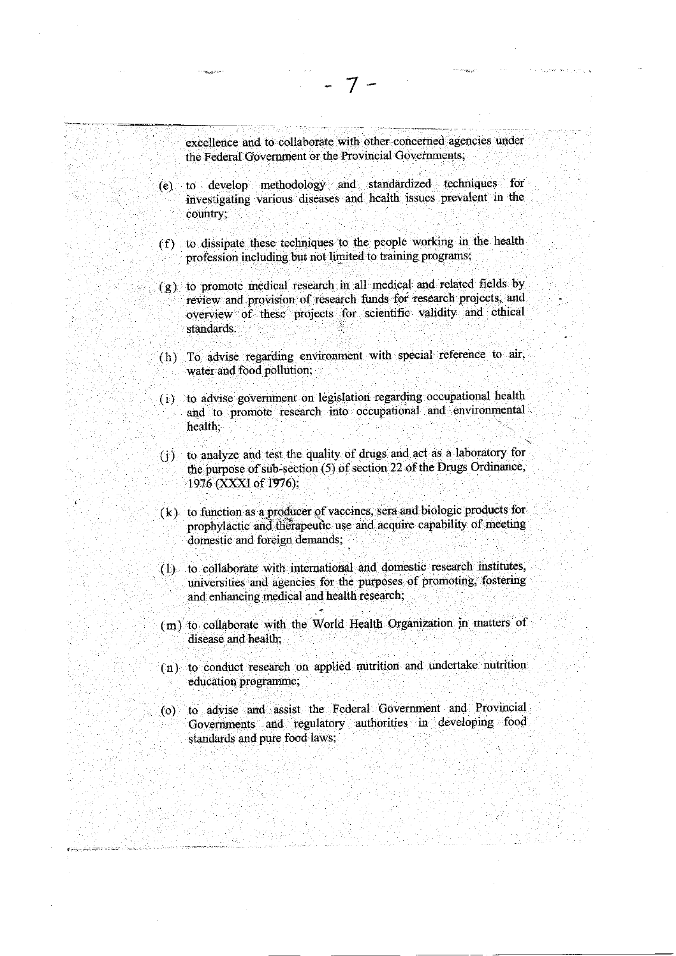excellence and to collaborate with other concerned agencies under the Federal Government or the Provincial Governments,

- (e). to develop .methodology and. standardized techniques for investigating various diseases and health issues prevalent'in the country:
- (f) to dissipate these tecbniques to the people working in the health profession including but not limited to training programs;
- $(g)$  to promote medical research in all medical and related fields by review and provision of research funds for research projects, and overvigw of these piojects for scientific validity and ethical standards.
- (h) To advise regarding environment with special reference to air, water and food pollution:
- (i) to advise gotemhent on legislation regarding occupational health and to promote research into occupational and environmental health;
- (j) to analyze and test the quality of drugs and act as a laboratory for the purpose of sub-section (5) of section 22 of the Drugs Ordinance, 1976 (XXXI of 1976);
- $(k)$  to function as a producer of vaccines, sera and biologic products for prophylactic and therapeutic use and acquire capability of meeting domestic and foreign demands; .
- .(1) to oollaborate with intemational and donrestic research institutes, universities and agencies for the purposes of promoting, fostering and enhancing medical and heaith research;
- (m) to collaborate with the World Health Organization in matters of disease and health;
- (n) to conduct research on applied nutrition and undertake nutrition education programme;
- (o) to advise and assist the Federal Govemment and Provincial Goveriments and regulatory authorities in developing food standards and pure food laws;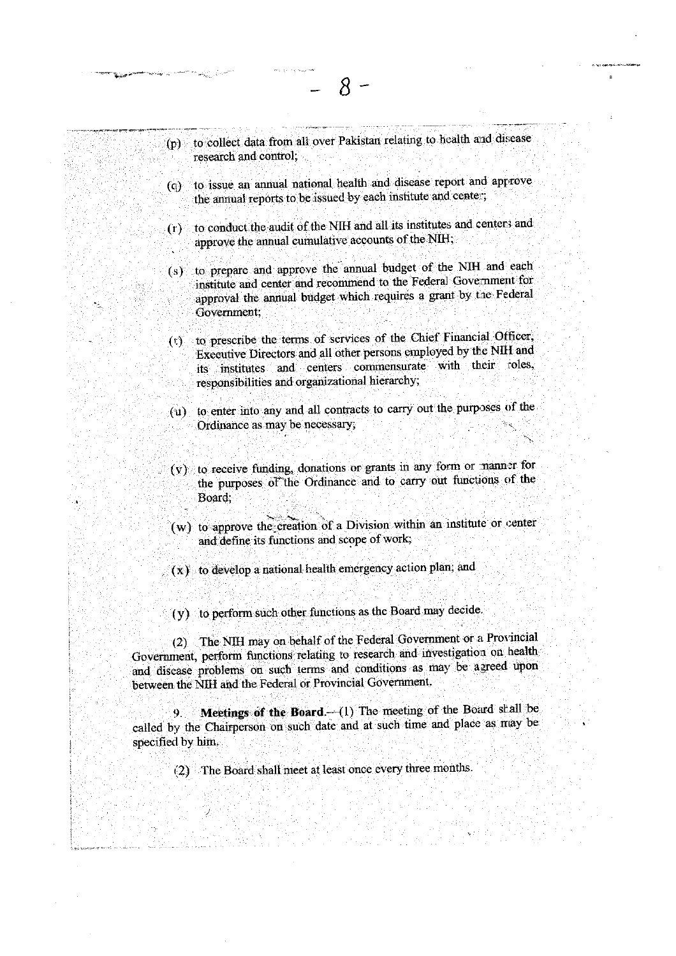- (p) to collect data from all over Pakistan relating to health and disease research and control.
- (q) to issue an annual national health and disease report and approve the annual reports to be issued by each institute and center;
- (r) to conduct the audit of the NIH and all its institutes and centers and approve the annual cumulative accounts of the NIH;
- (s) to prepare and approve the annual budget of the NIH and each institute and center and recommend to the Federal Government for approval the annual budget which requires a grant by the Federal Government;
- (t) to prescribe the terms of services of the Chief Financial Officer, Executive Directors and all other persons employed by the NIH and its institutes and centers commensurate with their roles, responsibilities and organizational hierarchy;
- (u) to enter into any and all contracts to carry out the purposes of the Ordinance as may be necessary,
- (v) to receive funding, donations or grants in any form or manner for the purposes of the Ordinance and to carry out functions of the Board:
- (w) to approve the creation of a Division within an institute or center and define its functions and scope of work;
- $(x)$  to develop a national health emergency action plan; and
- (y) to perform such other functions as the Board may decide.

(2) The NIH may on behalf of the Federal Government or a Provincial Government, perform functions relating to research and investigation on health and disease problems on such terms and conditions as may be agreed upon between the NIH and the Federal or Provincial Government.

Meetings of the Board. (1) The meeting of the Board shall be called by the Chairperson on such date and at such time and place as may be specified by him.

(2) The Board shall meet at least once every three months.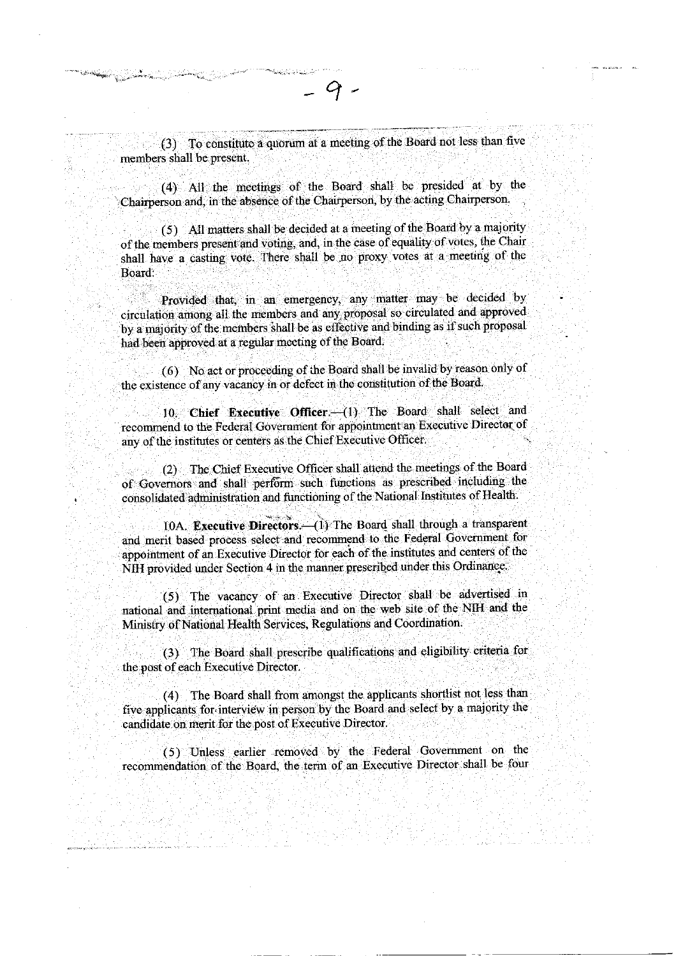(3) To constitute a quorum at a meeting of the Board not less than five members shall be present.

(4) All the meetings of the Board shall be presided at by the Chairperson and, in the absence of the Chairperson, by the acting Chairperson.

(5) All matters shall be decided at a meeting of the Board by a majority of the members present and voting, and, in the case of equality of votes, the Chair shall have a casting vote. There shall be no proxy votes at a meeting of the Board:

Provided that, in an emergency, any matter may be decided by circulation among all the members and any proposal so circulated and approved by a majority of the members shall be as effective and binding as if such proposal had been approved at a regular meeting of the Board.

(6) No act or proceeding of the Board shall be invalid by reason only of the existence of any vacancy in or defect in the constitution of the Board.

10. Chief Executive Officer (1) The Board shall select and recommend to the Federal Government for appointment an Executive Director of any of the institutes or centers as the Chief Executive Officer.

(2) The Chief Executive Officer shall attend the meetings of the Board of Governors and shall perform such functions as prescribed including the consolidated administration and functioning of the National Institutes of Health.

10A. Executive Directors.- (1) The Board shall through a transparent and merit based process select and recommend to the Federal Government for appointment of an Executive Director for each of the institutes and centers of the NIH provided under Section 4 in the manner prescribed under this Ordinance.

(5) The vacancy of an Executive Director shall be advertised in national and international print media and on the web site of the NIH and the Ministry of National Health Services, Regulations and Coordination.

(3) The Board shall prescribe qualifications and eligibility criteria for the post of each Executive Director.

(4) The Board shall from amongst the applicants shortlist not less than five applicants for interview in person by the Board and select by a majority the candidate on merit for the post of Executive Director.

(5) Unless earlier removed by the Federal Government on the recommendation of the Board, the term of an Executive Director shall be four